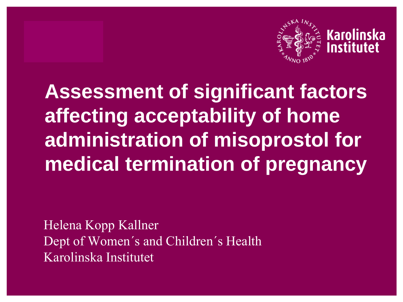

**Assessment of significant factors affecting acceptability of home administration of misoprostol for medical termination of pregnancy**

Helena Kopp Kallner Dept of Women's and Children's Health Karolinska Institutet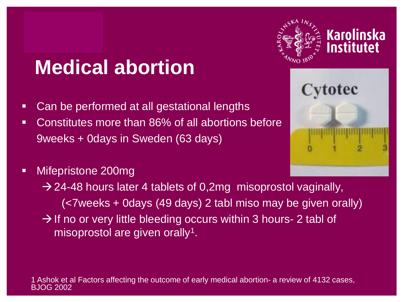### **Medical abortion**

- **Can be performed at all gestational lengths**
- Constitutes more than 86% of all abortions before 9weeks + 0days in Sweden (63 days)
- Mifepristone 200mg

 $\rightarrow$  24-48 hours later 4 tablets of 0,2mg misoprostol vaginally, (<7weeks + 0days (49 days) 2 tabl miso may be given orally)  $\rightarrow$  If no or very little bleeding occurs within 3 hours- 2 tabl of misoprostol are given orally<sup>1</sup>.



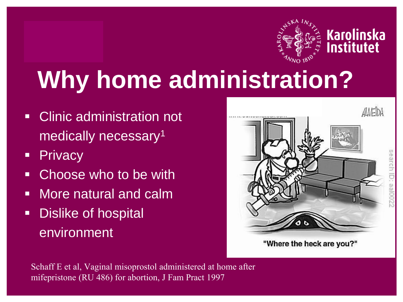

# **Why home administration?**

- **EXECLINIC ADMINISTRATION NOT** medically necessary<sup>1</sup>
- **Privacy**
- **EXEC** Choose who to be with
- **Nore natural and calm**
- **Dislike of hospital** environment



search ID:

"Where the heck are you?"

Schaff E et al, Vaginal misoprostol administered at home after mifepristone (RU 486) for abortion, J Fam Pract 1997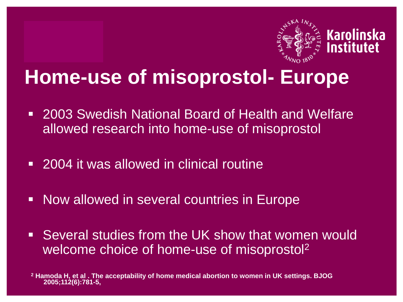

#### **Home-use of misoprostol- Europe**

- **2003 Swedish National Board of Health and Welfare** allowed research into home-use of misoprostol
- 2004 it was allowed in clinical routine
- **Now allowed in several countries in Europe**
- Several studies from the UK show that women would welcome choice of home-use of misoprostol<sup>2</sup>

**<sup>2</sup> Hamoda H, et al . The acceptability of home medical abortion to women in UK settings. BJOG 2005;112(6):781-5,**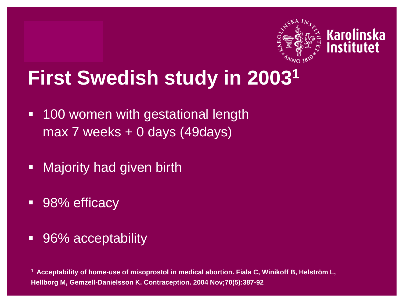

#### **First Swedish study in 2003<sup>1</sup>**

- **100 women with gestational length** max 7 weeks + 0 days (49days)
- **-** Majority had given birth
- 98% efficacy
- 96% acceptability

**<sup>1</sup> Acceptability of home-use of misoprostol in medical abortion. Fiala C, Winikoff B, Helström L, Hellborg M, Gemzell-Danielsson K. Contraception. 2004 Nov;70(5):387-92**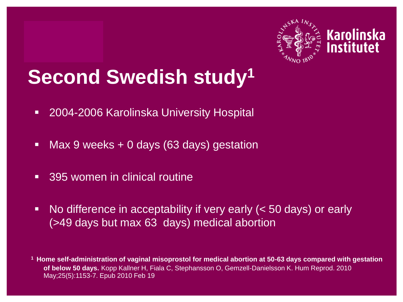

## **Second Swedish study<sup>1</sup>**

- **2004-2006 Karolinska University Hospital**
- Max 9 weeks + 0 days (63 days) gestation
- 395 women in clinical routine
- No difference in acceptability if very early (< 50 days) or early (>49 days but max 63 days) medical abortion

**<sup>1</sup> Home self-administration of vaginal misoprostol for medical abortion at 50-63 days compared with gestation of below 50 days.** Kopp Kallner H, Fiala C, Stephansson O, Gemzell-Danielsson K. Hum Reprod. 2010 May;25(5):1153-7. Epub 2010 Feb 19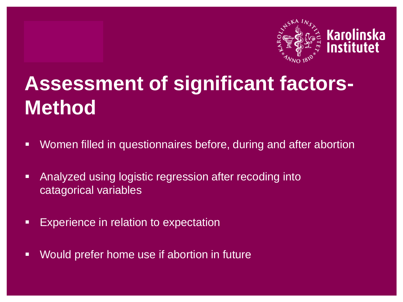

# **Assessment of significant factors-Method**

- Women filled in questionnaires before, during and after abortion
- **Analyzed using logistic regression after recoding into** catagorical variables
- **Experience in relation to expectation**
- Would prefer home use if abortion in future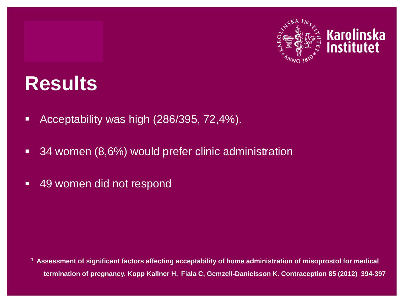

#### **Results**

- **Acceptability was high (286/395, 72,4%).**
- 34 women (8,6%) would prefer clinic administration
- 49 women did not respond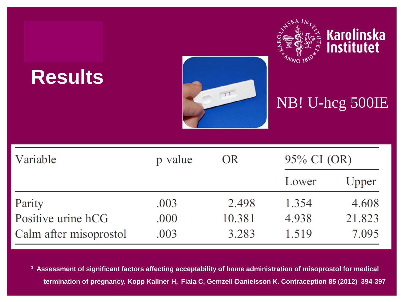| <b>Results</b>         |         | T         | $N_{NO}$ 18 | Karolinska<br>Institutet<br>NB! U-hcg 500IE |
|------------------------|---------|-----------|-------------|---------------------------------------------|
| Variable               | p value | <b>OR</b> | 95% CI (OR) |                                             |
|                        |         |           | Lower       | Upper                                       |
| Parity                 | .003    | 2.498     | 1.354       | 4.608                                       |
| Positive urine hCG     | .000    | 10.381    | 4.938       | 21.823                                      |
| Calm after misoprostol | .003    | 3.283     | 1.519       | 7.095                                       |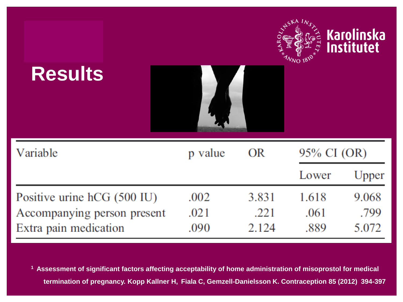| <b>Results</b>              |         |       |             | Karolinska<br>Institutet |
|-----------------------------|---------|-------|-------------|--------------------------|
| Variable                    | p value | OR    | 95% CI (OR) |                          |
|                             |         |       | Lower       | Upper                    |
| Positive urine hCG (500 IU) | .002    | 3.831 | 1.618       | 9.068                    |
| Accompanying person present | .021    | .221  | .061        | .799                     |
| Extra pain medication       | .090    | 2.124 | .889        | 5.072                    |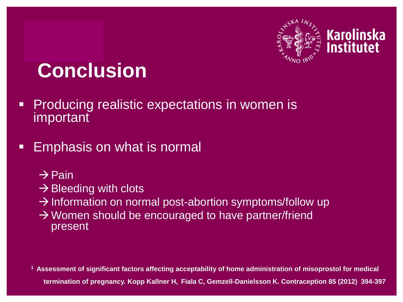

## **Conclusion**

- **Producing realistic expectations in women is** important
- **Emphasis on what is normal** 
	- $\rightarrow$  Pain
	- $\rightarrow$  Bleeding with clots
	- $\rightarrow$  Information on normal post-abortion symptoms/follow up
	- $\rightarrow$  Women should be encouraged to have partner/friend present